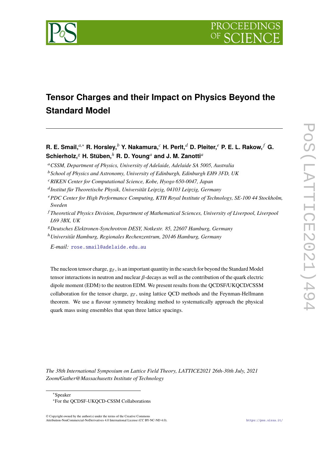

# **Tensor Charges and their Impact on Physics Beyond the Standard Model**

**R. E. Smail,***a*,<sup>∗</sup> **R. Horsley,***<sup>b</sup>* **Y. Nakamura,***<sup>c</sup>* **H. Perlt,***<sup>d</sup>* **D. Pleiter,***<sup>e</sup>* **P. E. L. Rakow,** *<sup>f</sup>* **G.**  $\boldsymbol{\mathsf{Schierholz}}, \text{}^{g}$  H. Stüben, $^{h}$  R. D. Young $^{a}$  and J. M. Zanotti $^{a}$ 

<sup>a</sup>*CSSM, Department of Physics, University of Adelaide, Adelaide SA 5005, Australia*

- <sup>e</sup>*PDC Center for High Performance Computing, KTH Royal Institute of Technology, SE-100 44 Stockholm, Sweden*
- <sup>f</sup> *Theoretical Physics Division, Department of Mathematical Sciences, University of Liverpool, Liverpool L69 3BX, UK*
- <sup>g</sup>*Deutsches Elektronen-Synchrotron DESY, Notkestr. 85, 22607 Hamburg, Germany*
- <sup>h</sup>*Universitat Hamburg, Regionales Rechenzentrum, 20146 Hamburg, Germany* Ü

*E-mail:* [rose.smail@adelaide.edu.au](mailto:rose.smail@adelaide.edu.au)

The nucleon tensor charge,  $g_T$ , is an important quantity in the search for beyond the Standard Model tensor interactions in neutron and nuclear  $\beta$ -decays as well as the contribution of the quark electric dipole moment (EDM) to the neutron EDM. We present results from the QCDSF/UKQCD/CSSM collaboration for the tensor charge,  $g_T$ , using lattice QCD methods and the Feynman-Hellmann theorem. We use a flavour symmetry breaking method to systematically approach the physical quark mass using ensembles that span three lattice spacings.

*The 38th International Symposium on Lattice Field Theory, LATTICE2021 26th-30th July, 2021 Zoom/Gather@Massachusetts Institute of Technology*

 $©$  Copyright owned by the author(s) under the terms of the Creative Common Attribution-NonCommercial-NoDerivatives 4.0 International License (CC BY-NC-ND 4.0). <https://pos.sissa.it/>

<sup>b</sup>*School of Physics and Astronomy, University of Edinburgh, Edinburgh EH9 3FD, UK*

<sup>c</sup>*RIKEN Center for Computational Science, Kobe, Hyogo 650-0047, Japan*

<sup>&</sup>lt;sup>d</sup> Institut für Theoretische Physik, Universität Leipzig, 04103 Leipzig, Germany

<sup>∗</sup>Speaker

<sup>∗</sup>For the QCDSF-UKQCD-CSSM Collaborations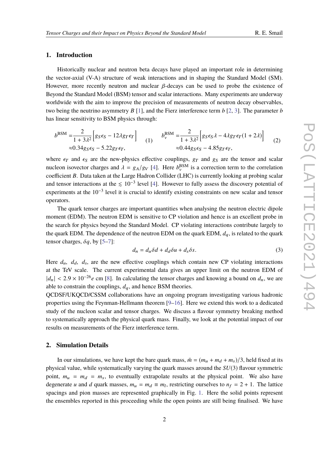## **1. Introduction**

Historically nuclear and neutron beta decays have played an important role in determining the vector-axial (V-A) structure of weak interactions and in shaping the Standard Model (SM). However, more recently neutron and nuclear  $\beta$ -decays can be used to probe the existence of Beyond the Standard Model (BSM) tensor and scalar interactions. Many experiments are underway worldwide with the aim to improve the precision of measurements of neutron decay observables, two being the neutrino asymmetry *B* [\[1\]](#page-8-0), and the Fierz interference term *b* [\[2,](#page-8-1) [3\]](#page-8-2). The parameter *b* has linear sensitivity to BSM physics through:

<span id="page-1-1"></span><span id="page-1-0"></span>
$$
b^{\text{BSM}} = \frac{2}{1+3\lambda^2} \Big[ g_S \epsilon_S - 12\lambda g_T \epsilon_T \Big] \qquad (1) \qquad b_v^{\text{BSM}} = \frac{2}{1+3\lambda^2} \Big[ g_S \epsilon_S \lambda - 4\lambda g_T \epsilon_T (1+2\lambda) \Big] \qquad (2)
$$
  

$$
\approx 0.34 g_S \epsilon_S - 5.22 g_T \epsilon_T, \qquad \approx 0.44 g_S \epsilon_S - 4.85 g_T \epsilon_T,
$$

where  $\epsilon_T$  and  $\epsilon_S$  are the new-physics effective couplings,  $g_T$  and  $g_S$  are the tensor and scalar nucleon isovector charges and  $\lambda = g_A/g_V$  [\[4\]](#page-8-3). Here  $b_v^{\text{BSM}}$  is a correction term to the correlation coordinates that  $\lambda$  is a corrective set that is a coordinate  $\lambda$  and  $\lambda$  is a corrective looking at problem cool on coefficient *B*. Data taken at the Large Hadron Collider (LHC) is currently looking at probing scalar and tensor interactions at the  $\leq 10^{-3}$  level [\[4\]](#page-8-3). However to fully assess the discovery potential of experiments at the  $10^{-3}$  level it is crucial to identify existing constraints on new scalar and tensor operators.

The quark tensor charges are important quantities when analysing the neutron electric dipole moment (EDM). The neutron EDM is sensitive to CP violation and hence is an excellent probe in the search for physics beyond the Standard Model. CP violating interactions contribute largely to the quark EDM. The dependence of the neutron EDM on the quark EDM,  $d_a$ , is related to the quark tensor charges,  $\delta q$ , by [\[5–](#page-8-4)[7\]](#page-8-5):

$$
d_n = d_u \delta d + d_d \delta u + d_s \delta s. \tag{3}
$$

Here  $d_u$ ,  $d_d$ ,  $d_s$ , are the new effective couplings which contain new CP violating interactions at the TeV scale. The current experimental data gives an upper limit on the neutron EDM of  $|d_n| < 2.9 \times 10^{-26}$ e cm [\[8\]](#page-8-6). In calculating the tensor charges and knowing a bound on  $d_n$ , we are able to constrain the couplings,  $d_q$ , and hence BSM theories.

QCDSF/UKQCD/CSSM collaborations have an ongoing program investigating various hadronic properties using the Feynman-Hellmann theorem [\[9](#page-8-7)[–16\]](#page-9-0). Here we extend this work to a dedicated study of the nucleon scalar and tensor charges. We discuss a flavour symmetry breaking method to systematically approach the physical quark mass. Finally, we look at the potential impact of our results on measurements of the Fierz interference term.

## **2. Simulation Details**

In our simulations, we have kept the bare quark mass,  $\bar{m} = (m_u + m_d + m_s)/3$ , held fixed at its physical value, while systematically varying the quark masses around the *SU*(3) flavour symmetric point,  $m_u = m_d = m_s$ , to eventually extrapolate results at the physical point. We also have degenerate *u* and *d* quark masses,  $m_u = m_d \equiv m_l$ , restricting ourselves to  $n_f = 2 + 1$ . The lattice spacings and pion masses are represented graphically in Fig. [1.](#page-2-0) Here the solid points represent the ensembles reported in this proceeding while the open points are still being finalised. We have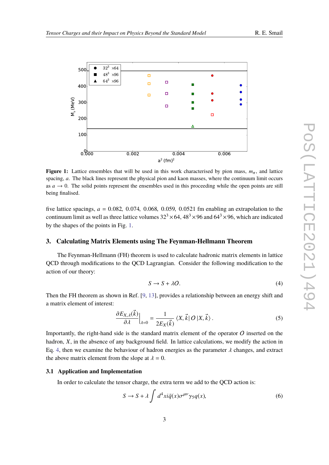

<span id="page-2-0"></span>

**Figure 1:** Lattice ensembles that will be used in this work characterised by pion mass,  $m_{\pi}$ , and lattice spacing, *a*. The black lines represent the physical pion and kaon masses, where the continuum limit occurs as  $a \to 0$ . The solid points represent the ensembles used in this proceeding while the open points are still being finalised.

five lattice spacings,  $a = 0.082$ , 0.074, 0.068, 0.059, 0.0521 fm enabling an extrapolation to the continuum limit as well as three lattice volumes  $32^3 \times 64$ ,  $48^3 \times 96$  and  $64^3 \times 96$ , which are indicated by the shapes of the points in Fig. [1.](#page-2-0)

## **3. Calculating Matrix Elements using The Feynman-Hellmann Theorem**

The Feynman-Hellmann (FH) theorem is used to calculate hadronic matrix elements in lattice QCD through modifications to the QCD Lagrangian. Consider the following modification to the action of our theory:

<span id="page-2-2"></span><span id="page-2-1"></span>
$$
S \to S + \lambda O. \tag{4}
$$

Then the FH theorem as shown in Ref. [\[9,](#page-8-7) [13\]](#page-8-8), provides a relationship between an energy shift and a matrix element of interest:

$$
\frac{\partial E_{X,\lambda}(\vec{k})}{\partial \lambda}\Big|_{\lambda=0} = \frac{1}{2E_X(\vec{k})} \langle X, \vec{k} | O | X, \vec{k} \rangle.
$$
 (5)

Importantly, the right-hand side is the standard matrix element of the operator  $O$  inserted on the hadron, *X*, in the absence of any background field. In lattice calculations, we modify the action in Eq. [4,](#page-2-1) then we examine the behaviour of hadron energies as the parameter  $\lambda$  changes, and extract the above matrix element from the slope at  $\lambda = 0$ .

#### **3.1 Application and Implementation**

In order to calculate the tensor charge, the extra term we add to the QCD action is:

<span id="page-2-3"></span>
$$
S \to S + \lambda \int d^4x i \bar{q}(x) \sigma^{\mu\nu} \gamma_5 q(x), \tag{6}
$$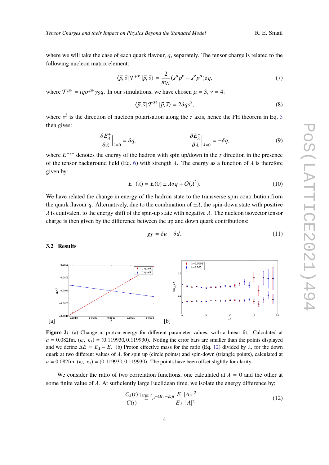where we will take the case of each quark flavour, *q*, separately. The tensor charge is related to the following nucleon matrix element:

$$
\langle \vec{p}, \vec{s} | \mathcal{T}^{\mu\nu} | \vec{p}, \vec{s} \rangle = \frac{2}{m_N} (s^\mu p^\nu - s^\nu p^\mu) \delta q,\tag{7}
$$

where  $T^{\mu\nu} = i\bar{q}\sigma^{\mu\nu}\gamma_5 q$ . In our simulations, we have chosen  $\mu = 3$ ,  $\nu = 4$ :

$$
\langle \vec{p}, \vec{s} | \mathcal{T}^{34} | \vec{p}, \vec{s} \rangle = 2\delta q s^3,\tag{8}
$$

where  $s^3$  is the direction of nucleon polarisation along the *z* axis, hence the FH theorem in Eq. [5](#page-2-2) then gives:

$$
\frac{\partial E_{\lambda}^{+}}{\partial \lambda}\Big|_{\lambda=0} = \delta q, \qquad \frac{\partial E_{\lambda}^{-}}{\partial \lambda}\Big|_{\lambda=0} = -\delta q, \qquad (9)
$$

where  $E^{+/-}$  denotes the energy of the hadron with spin up/down in the *z* direction in the presence of the tensor background field (Eq. [6\)](#page-2-3) with strength  $\lambda$ . The energy as a function of  $\lambda$  is therefore given by:

$$
E^{\pm}(\lambda) = E(0) \pm \lambda \delta q + O(\lambda^2). \tag{10}
$$

We have related the change in energy of the hadron state to the transverse spin contribution from the quark flavour *q*. Alternatively, due to the combination of  $\pm \lambda$ , the spin-down state with positive  $\lambda$  is equivalent to the energy shift of the spin-up state with negative  $\lambda$ . The nucleon isovector tensor charge is then given by the difference between the up and down quark contributions:

$$
g_T = \delta u - \delta d. \tag{11}
$$

<span id="page-3-1"></span> $0.00$ 

0.0005

**3.2 Results**



 $\overline{0}$ 

<span id="page-3-2"></span> $\overline{\lambda=0.000}$  $\lambda = 0.001$ 

 $\epsilon_{f_1 f_2}$ 

 $u$  quar d quar

We consider the ratio of two correlation functions, one calculated at  $\lambda = 0$  and the other at some finite value of  $\lambda$ . At sufficiently large Euclidean time, we isolate the energy difference by:

 $a = 0.082$ fm,  $(\kappa_l, \kappa_s) = (0.119930, 0.119930)$ . The points have been offset slightly for clarity.

<span id="page-3-0"></span>
$$
\frac{C_{\lambda}(t)}{C(t)} \stackrel{\text{large } t}{=} \frac{1}{2} e^{-(E_{\lambda} - E)t} \frac{E}{E_{\lambda}} \frac{|A_{\lambda}|^2}{|A|^2}.
$$
\n(12)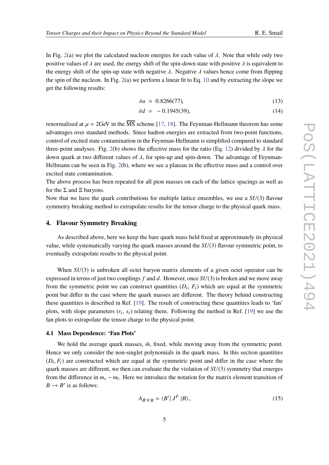In Fig. [2\(](#page-3-1)a) we plot the calculated nucleon energies for each value of  $\lambda$ . Note that while only two positive values of  $\lambda$  are used, the energy shift of the spin-down state with positive  $\lambda$  is equivalent to the energy shift of the spin-up state with negative  $\lambda$ . Negative  $\lambda$  values hence come from flipping the spin of the nucleon. In Fig. [2\(](#page-3-1)a) we perform a linear fit to Eq. [10](#page-3-2) and by extracting the slope we get the following results:

$$
\delta u = 0.8266(77), \tag{13}
$$

$$
\delta d = -0.1945(39),\tag{14}
$$

renormalised at  $\mu = 2$ GeV in the  $\overline{\text{MS}}$  scheme [\[17,](#page-9-1) [18\]](#page-9-2). The Feynman-Hellmann theorem has some advantages over standard methods. Since hadron energies are extracted from two-point functions, control of excited state contamination in the Feynman-Hellmann is simplified compared to standard three-point analyses. Fig. [2\(](#page-3-1)b) shows the effective mass for the ratio (Eq. [12\)](#page-3-0) divided by  $\lambda$  for the down quark at two different values of  $\lambda$ , for spin-up and spin-down. The advantage of Feynman-Hellmann can be seen in Fig. [2\(](#page-3-1)b), where we see a plateau in the effective mass and a control over excited state contamination.

The above process has been repeated for all pion masses on each of the lattice spacings as well as for the  $\Sigma$  and  $\Xi$  baryons.

Now that we have the quark contributions for multiple lattice ensembles, we use a *SU*(3) flavour symmetry breaking method to extrapolate results for the tensor charge to the physical quark mass.

#### **4. Flavour Symmetry Breaking**

As described above, here we keep the bare quark mass held fixed at approximately its physical value, while systematically varying the quark masses around the *SU*(3) flavour symmetric point, to eventually extrapolate results to the physical point.

When  $SU(3)$  is unbroken all octet baryon matrix elements of a given octet operator can be expressed in terms of just two couplings *f* and *d*. However, once *SU*(3) is broken and we move away from the symmetric point we can construct quantities  $(D_i, F_i)$  which are equal at the symmetric point but differ in the case where the quark masses are different. The theory behind constructing these quantities is described in Ref. [\[19\]](#page-9-3). The result of constructing these quantities leads to 'fan' plots, with slope parameters  $(r_i, s_i)$  relating them. Following the method in Ref. [\[19\]](#page-9-3) we use the fan plots to extrapolate the tensor charge to the physical point.

#### **4.1 Mass Dependence: 'Fan Plots'**

We hold the average quark masses,  $\bar{m}$ , fixed, while moving away from the symmetric point. Hence we only consider the non-singlet polynomials in the quark mass. In this section quantities  $(D_i, F_i)$  are constructed which are equal at the symmetric point and differ in the case where the sympatric point and different we then can evaluate the the vialation of  $SU(2)$  symmetry that emerges quark masses are different, we then can evaluate the the violation of *SU*(3) symmetry that emerges from the difference in  $m_s - m_l$ . Here we introduce the notation for the matrix element transition of  $B \to B'$  is as follows:

$$
A_{\bar{B}'FB} = \langle B' | J^F | B \rangle, \tag{15}
$$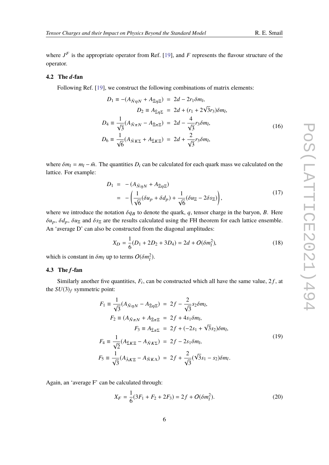where  $J<sup>F</sup>$  is the appropriate operator from Ref. [\[19\]](#page-9-3), and *F* represents the flavour structure of the operator.

# **4.2 The** *d***-fan**

Following Ref. [\[19\]](#page-9-3), we construct the following combinations of matrix elements:

<span id="page-5-0"></span>
$$
D_1 \equiv -(A_{\bar{N}\eta N} + A_{\bar{\Xi}\eta \Xi}) = 2d - 2r_1 \delta m_l,
$$
  
\n
$$
D_2 \equiv A_{\bar{\Sigma}\eta \Sigma} = 2d + (r_1 + 2\sqrt{3}r_3)\delta m_l,
$$
  
\n
$$
D_4 \equiv \frac{1}{\sqrt{3}}(A_{\bar{N}\pi N} - A_{\bar{\Xi}\pi \Xi}) = 2d - \frac{4}{\sqrt{3}}r_3 \delta m_l,
$$
  
\n
$$
D_6 \equiv \frac{1}{\sqrt{6}}(A_{\bar{N}K\Sigma} + A_{\bar{\Sigma}K\Sigma}) = 2d + \frac{2}{\sqrt{3}}r_3 \delta m_l,
$$
\n(16)

where  $\delta m_l = m_l - \bar{m}$ . The quantities  $D_i$  can be calculated for each quark mass we calculated on the lattice. For example:

$$
D_1 = -(A_{\bar{N}\eta N} + A_{\bar{\Xi}\eta \Xi})
$$
  
= 
$$
-\left(\frac{1}{\sqrt{6}}(\delta u_p + \delta d_p) + \frac{1}{\sqrt{6}}(\delta u_{\Xi} - 2\delta s_{\Xi})\right),
$$
 (17)

where we introduce the notation  $\delta q_B$  to denote the quark, q, tensor charge in the baryon, *B*. Here  $\delta u_p$ ,  $\delta d_p$ ,  $\delta u_{\Xi}$  and  $\delta s_{\Xi}$  are the results calculated using the FH theorem for each lattice ensemble. An 'average D' can also be constructed from the diagonal amplitudes:

$$
X_D = \frac{1}{6}(D_1 + 2D_2 + 3D_4) = 2d + O(\delta m_l^2),\tag{18}
$$

which is constant in  $\delta m_l$  up to terms  $O(\delta m_l^2)$ .

## **4.3 The** *f***-fan**

Similarly another five quantities,  $F_i$ , can be constructed which all have the same value,  $2f$ , at the  $SU(3)_f$  symmetric point:

<span id="page-5-1"></span>
$$
F_1 = \frac{1}{\sqrt{3}} (A_{\bar{N}\eta N} - A_{\bar{\Xi}\eta \Xi}) = 2f - \frac{2}{\sqrt{3}} s_2 \delta m_l,
$$
  
\n
$$
F_2 = (A_{\bar{N}\pi N} + A_{\bar{\Xi}\pi \Xi} = 2f + 4s_1 \delta m_l,
$$
  
\n
$$
F_3 = A_{\bar{\Sigma}\pi \Sigma} = 2f + (-2s_1 + \sqrt{3}s_2) \delta m_l,
$$
  
\n
$$
F_4 = \frac{1}{\sqrt{2}} (A_{\bar{\Sigma}K\Xi} - A_{\bar{N}K\Sigma}) = 2f - 2s_1 \delta m_l,
$$
  
\n
$$
F_5 = \frac{1}{\sqrt{3}} (A_{\bar{\Lambda}K\Xi} - A_{\bar{N}K\Lambda}) = 2f + \frac{2}{\sqrt{3}} (\sqrt{3}s_1 - s_2) \delta m_l.
$$
  
\n(19)

Again, an 'average F' can be calculated through:

$$
X_F = \frac{1}{6}(3F_1 + F_2 + 2F_3) = 2f + O(\delta m_l^2). \tag{20}
$$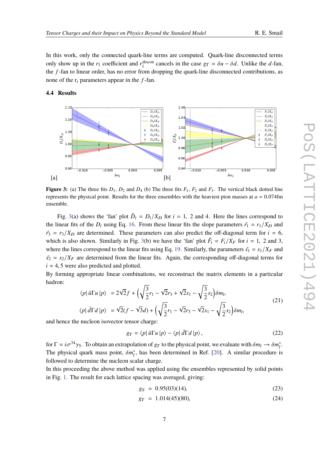In this work, only the connected quark-line terms are computed. Quark-line disconnected terms only show up in the *r*<sub>1</sub> coefficient and *r*<sup>discon</sup> cancels in the case  $g_T = \delta u - \delta d$ . Unlike the *d*-fan, the *f* -fan to linear order, has no error from dropping the quark-line disconnected contributions, as none of the  $r_i$  parameters appear in the  $f$ -fan.

## **4.4 Results**

<span id="page-6-0"></span>

**Figure 3:** (a) The three fits  $D_1$ ,  $D_2$  and  $D_4$  (b) The three fits  $F_1$ ,  $F_2$  and  $F_3$ . The vertical black dotted line represents the physical point. Results for the three ensembles with the heaviest pion masses at  $a = 0.074$  fm ensemble.

Fig. [3\(](#page-6-0)a) shows the 'fan' plot  $\tilde{D}_i = D_i/X_D$  for  $i = 1, 2$  and 4. Here the lines correspond to insect for the of the D using Eq. 16. From these linear fits the claps permeters  $\tilde{L} = \pi / X$  and the linear fits of the  $D_i$  using Eq. [16.](#page-5-0) From these linear fits the slope parameters  $\tilde{r}_1 = r_1/X_D$  and  $r_3 = r_3/X_D$  are determined. These parameters can also predict the off-diagonal term for  $i = 6$ , which is also shown. Similarly in Fig. [3\(](#page-6-0)b) we have the 'fan' plot  $\tilde{F}_i = F_i/X_F$  for  $i = 1, 2$  and 3, where the lines correspond to the linear fits using Eq. [19.](#page-5-1) Similarly, the parameters  $\tilde{s_1} = s_1/X_F$  and  $\tilde{s}_2 = s_2/X_F$  are determined from the linear fits. Again, the corresponding off-diagonal terms for  $i = 4, 5$  were also predicted and plotted.

By forming appropriate linear combinations, we reconstruct the matrix elements in a particular hadron:

$$
\langle p | \bar{u} \Gamma u | p \rangle = 2\sqrt{2}f + \left(\sqrt{\frac{3}{2}}r_1 - \sqrt{2}r_3 + \sqrt{2}s_1 - \sqrt{\frac{3}{2}}s_2\right)\delta m_l,
$$
  

$$
\langle p | \bar{d} \Gamma d | p \rangle = \sqrt{2}(f - \sqrt{3}d) + \left(\sqrt{\frac{3}{2}}r_1 - \sqrt{2}r_3 - \sqrt{2}s_1 - \sqrt{\frac{3}{2}}s_2\right)\delta m_l,
$$
 (21)

and hence the nucleon isovector tensor charge:

$$
g_T = \langle p | \bar{u} \Gamma u | p \rangle - \langle p | \bar{d} \Gamma d | p \rangle, \qquad (22)
$$

for  $\Gamma = i\sigma^{34}\gamma_5$ . To obtain an extrapolation of  $g_T$  to the physical point, we evaluate with  $\delta m_l \to \delta m_l^*$ <br>The physical guark mass point,  $\delta m^*$ , has been determined in Ref. [201]. A similar gross dura is  $\frac{1}{l}$ . The physical quark mass point,  $\delta m_l^*$ <br>followed to determine the nuclear co- $\eta^*$ , has been determined in Ref. [\[20\]](#page-9-4). A similar procedure is followed to determine the nucleon scalar charge.

In this proceeding the above method was applied using the ensembles represented by solid points in Fig. [1.](#page-2-0) The result for each lattice spacing was averaged, giving:

$$
g_S = 0.95(03)(14),\tag{23}
$$

$$
g_T = 1.014(45)(80),\tag{24}
$$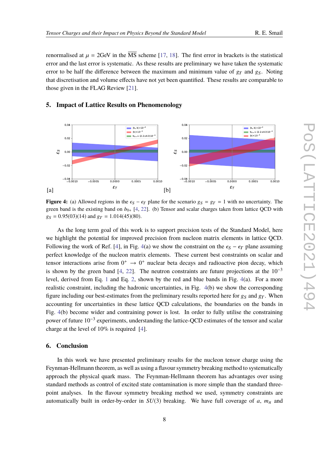renormalised at  $\mu = 2$ GeV in the  $\overline{\text{MS}}$  scheme [\[17,](#page-9-1) [18\]](#page-9-2). The first error in brackets is the statistical error and the last error is systematic. As these results are preliminary we have taken the systematic error to be half the difference between the maximum and minimum value of  $g_T$  and  $g_S$ . Noting that discretisation and volume effects have not yet been quantified. These results are comparable to those given in the FLAG Review [\[21\]](#page-9-5).

# **5. Impact of Lattice Results on Phenomenology**

<span id="page-7-0"></span>

**Figure 4:** (a) Allowed regions in the  $\epsilon_S - \epsilon_T$  plane for the scenario  $g_S = g_T = 1$  with no uncertainty. The green band is the existing band on  $b_{0+}$  [\[4,](#page-8-3) [22\]](#page-9-6). (b) Tensor and scalar charges taken from lattice QCD with  $g_S = 0.95(03)(14)$  and  $g_T = 1.014(45)(80)$ .

As the long term goal of this work is to support precision tests of the Standard Model, here we highlight the potential for improved precision from nucleon matrix elements in lattice QCD. Following the work of Ref. [\[4\]](#page-8-3), in Fig. [4\(](#page-7-0)a) we show the constraint on the  $\epsilon_S - \epsilon_T$  plane assuming perfect knowledge of the nucleon matrix elements. These current best constraints on scalar and tensor interactions arise from  $0^+ \rightarrow 0^+$  nuclear beta decays and radioactive pion decay, which is shown by the green band [\[4,](#page-8-3) [22\]](#page-9-6). The neutron constraints are future projections at the  $10^{-3}$ level, derived from Eq. [1](#page-1-0) and Eq. [2,](#page-1-1) shown by the red and blue bands in Fig. [4\(](#page-7-0)a). For a more realistic constraint, including the hadronic uncertainties, in Fig. [4\(](#page-7-0)b) we show the corresponding figure including our best-estimates from the preliminary results reported here for  $g_S$  and  $g_T$ . When accounting for uncertainties in these lattice QCD calculations, the boundaries on the bands in Fig. [4\(](#page-7-0)b) become wider and contraining power is lost. In order to fully utilise the constraining power of future 10<sup>-3</sup> experiments, understanding the lattice-QCD estimates of the tensor and scalar charge at the level of 10% is required [\[4\]](#page-8-3).

## **6. Conclusion**

In this work we have presented preliminary results for the nucleon tensor charge using the Feynman-Hellmann theorem, as well as using a flavour symmetry breaking method to systematically approach the physical quark mass. The Feynman-Hellmann theorem has advantages over using standard methods as control of excited state contamination is more simple than the standard threepoint analyses. In the flavour symmetry breaking method we used, symmetry constraints are automatically built in order-by-order in  $SU(3)$  breaking. We have full coverage of *a*,  $m<sub>\pi</sub>$  and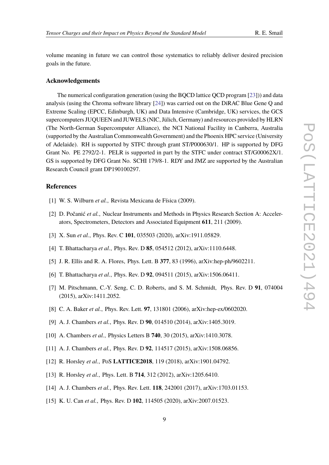volume meaning in future we can control those systematics to reliably deliver desired precision goals in the future.

#### **Acknowledgements**

The numerical configuration generation (using the BQCD lattice QCD program [\[23\]](#page-9-7))) and data analysis (using the Chroma software library [\[24\]](#page-9-8)) was carried out on the DiRAC Blue Gene Q and Extreme Scaling (EPCC, Edinburgh, UK) and Data Intensive (Cambridge, UK) services, the GCS supercomputers JUQUEEN and JUWELS (NIC, Jülich, Germany) and resources provided by HLRN (The North-German Supercomputer Alliance), the NCI National Facility in Canberra, Australia (supported by the Australian Commonwealth Government) and the Phoenix HPC service (University of Adelaide). RH is supported by STFC through grant ST/P000630/1. HP is supported by DFG Grant No. PE 2792/2-1. PELR is supported in part by the STFC under contract ST/G00062X/1. GS is supported by DFG Grant No. SCHI 179/8-1. RDY and JMZ are supported by the Australian Research Council grant DP190100297.

# **References**

- <span id="page-8-0"></span>[1] W. S. Wilburn *et al.*, Revista Mexicana de Física (2009).
- <span id="page-8-1"></span>[2] D. Počanić *et al.*, Nuclear Instruments and Methods in Physics Research Section A: Accelerators, Spectrometers, Detectors and Associated Equipment **611**, 211 (2009).
- <span id="page-8-2"></span>[3] X. Sun *et al.*, Phys. Rev. C **101**, 035503 (2020), arXiv:1911.05829.
- <span id="page-8-3"></span>[4] T. Bhattacharya *et al.*, Phys. Rev. D **85**, 054512 (2012), arXiv:1110.6448.
- <span id="page-8-4"></span>[5] J. R. Ellis and R. A. Flores, Phys. Lett. B **377**, 83 (1996), arXiv:hep-ph/9602211.
- [6] T. Bhattacharya *et al.*, Phys. Rev. D **92**, 094511 (2015), arXiv:1506.06411.
- <span id="page-8-5"></span>[7] M. Pitschmann, C.-Y. Seng, C. D. Roberts, and S. M. Schmidt, Phys. Rev. D **91**, 074004 (2015), arXiv:1411.2052.
- <span id="page-8-6"></span>[8] C. A. Baker *et al.*, Phys. Rev. Lett. **97**, 131801 (2006), arXiv:hep-ex/0602020.
- <span id="page-8-7"></span>[9] A. J. Chambers *et al.*, Phys. Rev. D **90**, 014510 (2014), arXiv:1405.3019.
- [10] A. Chambers *et al.*, Physics Letters B **740**, 30 (2015), arXiv:1410.3078.
- [11] A. J. Chambers *et al.*, Phys. Rev. D **92**, 114517 (2015), arXiv:1508.06856.
- [12] R. Horsley *et al.*, PoS **LATTICE2018**, 119 (2018), arXiv:1901.04792.
- <span id="page-8-8"></span>[13] R. Horsley *et al.*, Phys. Lett. B **714**, 312 (2012), arXiv:1205.6410.
- [14] A. J. Chambers *et al.*, Phys. Rev. Lett. **118**, 242001 (2017), arXiv:1703.01153.
- [15] K. U. Can *et al.*, Phys. Rev. D **102**, 114505 (2020), arXiv:2007.01523.